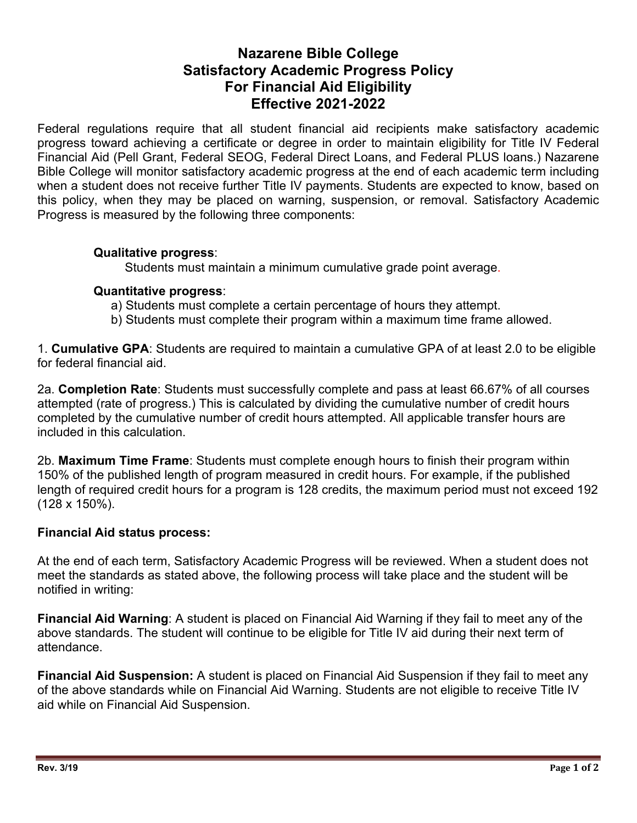# **Nazarene Bible College Satisfactory Academic Progress Policy For Financial Aid Eligibility Effective 2021-2022**

Federal regulations require that all student financial aid recipients make satisfactory academic progress toward achieving a certificate or degree in order to maintain eligibility for Title IV Federal Financial Aid (Pell Grant, Federal SEOG, Federal Direct Loans, and Federal PLUS loans.) Nazarene Bible College will monitor satisfactory academic progress at the end of each academic term including when a student does not receive further Title IV payments. Students are expected to know, based on this policy, when they may be placed on warning, suspension, or removal. Satisfactory Academic Progress is measured by the following three components:

# **Qualitative progress**:

Students must maintain a minimum cumulative grade point average.

#### **Quantitative progress**:

- a) Students must complete a certain percentage of hours they attempt.
- b) Students must complete their program within a maximum time frame allowed.

1. **Cumulative GPA**: Students are required to maintain a cumulative GPA of at least 2.0 to be eligible for federal financial aid.

2a. **Completion Rate**: Students must successfully complete and pass at least 66.67% of all courses attempted (rate of progress.) This is calculated by dividing the cumulative number of credit hours completed by the cumulative number of credit hours attempted. All applicable transfer hours are included in this calculation.

2b. **Maximum Time Frame**: Students must complete enough hours to finish their program within 150% of the published length of program measured in credit hours. For example, if the published length of required credit hours for a program is 128 credits, the maximum period must not exceed 192 (128 x 150%).

#### **Financial Aid status process:**

At the end of each term, Satisfactory Academic Progress will be reviewed. When a student does not meet the standards as stated above, the following process will take place and the student will be notified in writing:

**Financial Aid Warning**: A student is placed on Financial Aid Warning if they fail to meet any of the above standards. The student will continue to be eligible for Title IV aid during their next term of attendance.

**Financial Aid Suspension:** A student is placed on Financial Aid Suspension if they fail to meet any of the above standards while on Financial Aid Warning. Students are not eligible to receive Title IV aid while on Financial Aid Suspension.